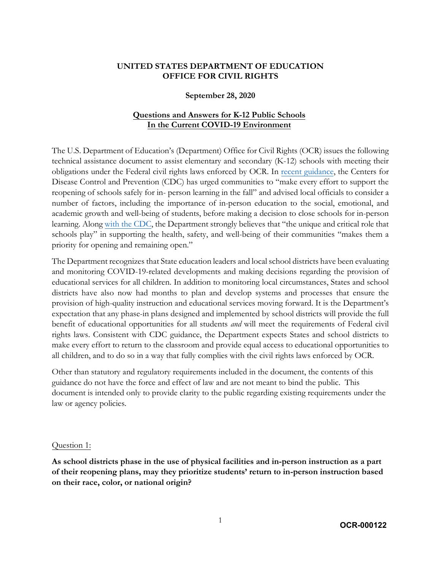## **UNITED STATES DEPARTMENT OF EDUCATION OFFICE FOR CIVIL RIGHTS**

### **September 28, 2020**

## **Questions and Answers for K-12 Public Schools In the Current COVID-19 Environment**

The U.S. Department of Education's (Department) Office for Civil Rights (OCR) issues the following technical assistance document to assist elementary and secondary (K-12) schools with meeting their obligations under the Federal civil rights laws enforced by OCR. In [recent guidance,](https://www.cdc.gov/coronavirus/2019-ncov/community/schools-childcare/reopening-schools-faqs.html) the Centers for Disease Control and Prevention (CDC) has urged communities to "make every effort to support the reopening of schools safely for in- person learning in the fall" and advised local officials to consider a number of factors, including the importance of in-person education to the social, emotional, and academic growth and well-being of students, before making a decision to close schools for in-person learning. Along [with the CDC,](https://www.cdc.gov/coronavirus/2019-ncov/community/schools-childcare/prepare-safe-return.html) the Department strongly believes that "the unique and critical role that schools play" in supporting the health, safety, and well-being of their communities "makes them a priority for opening and remaining open."

The Department recognizes that State education leaders and local school districts have been evaluating and monitoring COVID-19-related developments and making decisions regarding the provision of educational services for all children. In addition to monitoring local circumstances, States and school districts have also now had months to plan and develop systems and processes that ensure the provision of high-quality instruction and educational services moving forward. It is the Department's expectation that any phase-in plans designed and implemented by school districts will provide the full benefit of educational opportunities for all students *and* will meet the requirements of Federal civil rights laws. Consistent with CDC guidance, the Department expects States and school districts to make every effort to return to the classroom and provide equal access to educational opportunities to all children, and to do so in a way that fully complies with the civil rights laws enforced by OCR.

Other than statutory and regulatory requirements included in the document, the contents of this guidance do not have the force and effect of law and are not meant to bind the public. This document is intended only to provide clarity to the public regarding existing requirements under the law or agency policies.

### Question 1:

**As school districts phase in the use of physical facilities and in-person instruction as a part of their reopening plans, may they prioritize students' return to in-person instruction based on their race, color, or national origin?**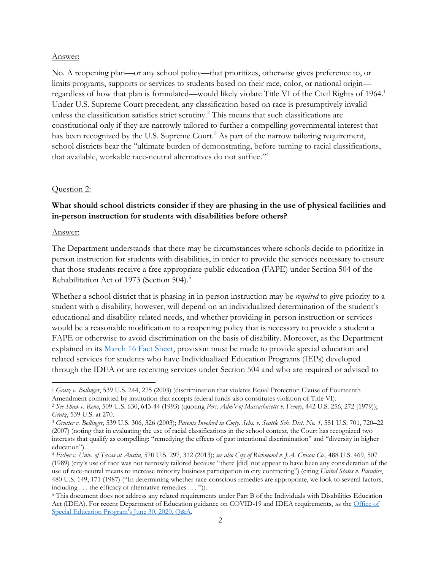#### Answer:

No. A reopening plan—or any school policy—that prioritizes, otherwise gives preference to, or limits programs, supports or services to students based on their race, color, or national origin regardless of how that plan is formulated—would likely violate Title VI of the Civil Rights of 1964.[1](#page-1-0) Under U.S. Supreme Court precedent, any classification based on race is presumptively invalid unless the classification satisfies strict scrutiny.[2](#page-1-1) This means that such classifications are constitutional only if they are narrowly tailored to further a compelling governmental interest that has been recognized by the U.S. Supreme Court.<sup>[3](#page-1-2)</sup> As part of the narrow tailoring requirement, school districts bear the "ultimate burden of demonstrating, before turning to racial classifications, that available, workable race-neutral alternatives do not suffice."[4](#page-1-3)

### Question 2:

## **What should school districts consider if they are phasing in the use of physical facilities and in-person instruction for students with disabilities before others?**

#### Answer:

The Department understands that there may be circumstances where schools decide to prioritize inperson instruction for students with disabilities, in order to provide the services necessary to ensure that those students receive a free appropriate public education (FAPE) under Section 504 of the Rehabilitation Act of 1973 (Section 504).[5](#page-1-4)

Whether a school district that is phasing in in-person instruction may be *required* to give priority to a student with a disability, however, will depend on an individualized determination of the student's educational and disability-related needs, and whether providing in-person instruction or services would be a reasonable modification to a reopening policy that is necessary to provide a student a FAPE or otherwise to avoid discrimination on the basis of disability. Moreover, as the Department explained in its [March 16 Fact Sheet,](https://www2.ed.gov/about/offices/list/ocr/docs/ocr-coronavirus-fact-sheet.pdf) provision must be made to provide special education and related services for students who have Individualized Education Programs (IEPs) developed through the IDEA or are receiving services under Section 504 and who are required or advised to

<span id="page-1-0"></span><sup>1</sup> *Gratz v. Bollinger*, 539 U.S. 244, 275 (2003) (discrimination that violates Equal Protection Clause of Fourteenth Amendment committed by institution that accepts federal funds also constitutes violation of Title VI).

<span id="page-1-1"></span><sup>2</sup> *See Shaw v. Reno*, 509 U.S. 630, 643-44 (1993) (quoting *Pers. Adm'r of Massachusetts v. Feeney*, 442 U.S. 256, 272 (1979));

<span id="page-1-2"></span>*Gratz*, 539 U.S. at 270. 3 *Grutter v. Bollinger*, 539 U.S. 306, 326 (2003); *Parents Involved in Cmty. Schs. v. Seattle Sch. Dist. No. 1*, 551 U.S. 701, 720–22 (2007) (noting that in evaluating the use of racial classifications in the school context, the Court has recognized two interests that qualify as compelling: "remedying the effects of past intentional discrimination" and "diversity in higher education").

<span id="page-1-3"></span><sup>4</sup> *Fisher v. Univ. of Texas at Austin*, 570 U.S. 297, 312 (2013); *see also City of Richmond v. J.A. Croson Co*., 488 U.S. 469, 507 (1989) (city's use of race was not narrowly tailored because "there [did] not appear to have been any consideration of the use of race-neutral means to increase minority business participation in city contracting") (citing *United States v. Paradise*, 480 U.S. 149, 171 (1987) ("In determining whether race-conscious remedies are appropriate, we look to several factors,

<span id="page-1-4"></span><sup>&</sup>lt;sup>5</sup> This document does not address any related requirements under Part B of the Individuals with Disabilities Education Act (IDEA). For recent Department of Education guidance on COVID-19 and IDEA requirements, *see* the [Office of](https://www2.ed.gov/policy/speced/guid/idea/memosdcltrs/qa-procedural-safeguards-idea-part-b-06-30-2020.pdf)  [Special Education Program's June 30, 2020, Q&A.](https://www2.ed.gov/policy/speced/guid/idea/memosdcltrs/qa-procedural-safeguards-idea-part-b-06-30-2020.pdf)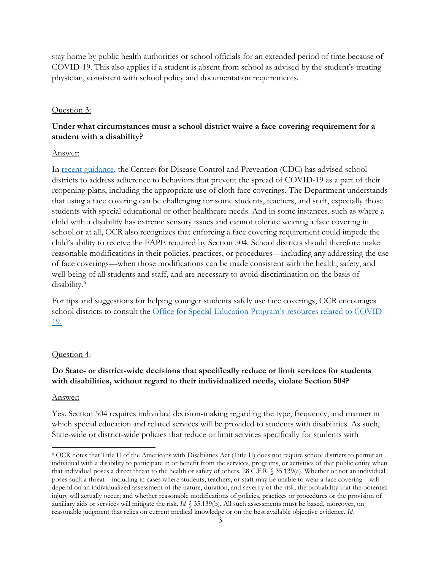stay home by public health authorities or school officials for an extended period of time because of COVID-19. This also applies if a student is absent from school as advised by the student's treating physician, consistent with school policy and documentation requirements.

### Question 3:

## **Under what circumstances must a school district waive a face covering requirement for a student with a disability?**

### Answer:

In [recent guidance,](https://www.cdc.gov/coronavirus/2019-ncov/community/schools-childcare/cloth-face-cover.html) the Centers for Disease Control and Prevention (CDC) has advised school districts to address adherence to behaviors that prevent the spread of COVID-19 as a part of their reopening plans, including the appropriate use of cloth face coverings. The Department understands that using a face covering can be challenging for some students, teachers, and staff, especially those students with special educational or other healthcare needs. And in some instances, such as where a child with a disability has extreme sensory issues and cannot tolerate wearing a face covering in school or at all, OCR also recognizes that enforcing a face covering requirement could impede the child's ability to receive the FAPE required by Section 504. School districts should therefore make reasonable modifications in their policies, practices, or procedures—including any addressing the use of face coverings—when those modifications can be made consistent with the health, safety, and well-being of all students and staff, and are necessary to avoid discrimination on the basis of disability.[6](#page-2-0)

For tips and suggestions for helping younger students safely use face coverings, OCR encourages school districts to consult the [Office for Special Education Program's resources](https://sites.ed.gov/idea/newsletters/#2020) related to COVID-[19.](https://sites.ed.gov/idea/newsletters/#2020)

### Question 4:

## **Do State- or district-wide decisions that specifically reduce or limit services for students with disabilities, without regard to their individualized needs, violate Section 504?**

### Answer:

Yes. Section 504 requires individual decision-making regarding the type, frequency, and manner in which special education and related services will be provided to students with disabilities. As such, State-wide or district-wide policies that reduce or limit services specifically for students with

<span id="page-2-0"></span><sup>6</sup> OCR notes that Title II of the Americans with Disabilities Act (Title II) does not require school districts to permit an individual with a disability to participate in or benefit from the services, programs, or activities of that public entity when that individual poses a direct threat to the health or safety of others. 28 C.F.R. § 35.139(a). Whether or not an individual poses such a threat—including in cases where students, teachers, or staff may be unable to wear a face covering—will depend on an individualized assessment of the nature, duration, and severity of the risk; the probability that the potential injury will actually occur; and whether reasonable modifications of policies, practices or procedures or the provision of auxiliary aids or services will mitigate the risk. *Id.* § 35.139(b). All such assessments must be based, moreover, on reasonable judgment that relies on current medical knowledge or on the best available objective evidence. *Id.*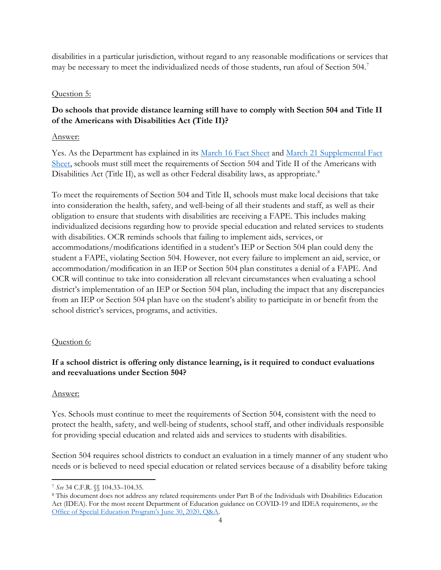disabilities in a particular jurisdiction, without regard to any reasonable modifications or services that may be necessary to meet the individualized needs of those students, run afoul of Section 504.<sup>[7](#page-3-0)</sup>

## Question 5:

# **Do schools that provide distance learning still have to comply with Section 504 and Title II of the Americans with Disabilities Act (Title II)?**

## Answer:

Yes. As the Department has explained in its [March 16 Fact Sheet](https://www2.ed.gov/about/offices/list/ocr/docs/ocr-coronavirus-fact-sheet.pdf) and [March 21 Supplemental Fact](https://www2.ed.gov/about/offices/list/ocr/frontpage/faq/rr/policyguidance/Supple%20Fact%20Sheet%203.21.20%20FINAL.pdf)  [Sheet,](https://www2.ed.gov/about/offices/list/ocr/frontpage/faq/rr/policyguidance/Supple%20Fact%20Sheet%203.21.20%20FINAL.pdf) schools must still meet the requirements of Section 504 and Title II of the Americans with Disabilities Act (Title II), as well as other Federal disability laws, as appropriate.<sup>[8](#page-3-1)</sup>

To meet the requirements of Section 504 and Title II, schools must make local decisions that take into consideration the health, safety, and well-being of all their students and staff, as well as their obligation to ensure that students with disabilities are receiving a FAPE. This includes making individualized decisions regarding how to provide special education and related services to students with disabilities. OCR reminds schools that failing to implement aids, services, or accommodations/modifications identified in a student's IEP or Section 504 plan could deny the student a FAPE, violating Section 504. However, not every failure to implement an aid, service, or accommodation/modification in an IEP or Section 504 plan constitutes a denial of a FAPE. And OCR will continue to take into consideration all relevant circumstances when evaluating a school district's implementation of an IEP or Section 504 plan, including the impact that any discrepancies from an IEP or Section 504 plan have on the student's ability to participate in or benefit from the school district's services, programs, and activities.

## Question 6:

# **If a school district is offering only distance learning, is it required to conduct evaluations and reevaluations under Section 504?**

## Answer:

Yes. Schools must continue to meet the requirements of Section 504, consistent with the need to protect the health, safety, and well-being of students, school staff, and other individuals responsible for providing special education and related aids and services to students with disabilities.

Section 504 requires school districts to conduct an evaluation in a timely manner of any student who needs or is believed to need special education or related services because of a disability before taking

<span id="page-3-1"></span><span id="page-3-0"></span><sup>7</sup> *See* 34 C.F.R. §§ 104.33–104.35. 8 This document does not address any related requirements under Part B of the Individuals with Disabilities Education Act (IDEA). For the most recent Department of Education guidance on COVID-19 and IDEA requirements, *see* the [Office of Special Education Program's June 30, 2020, Q&A.](https://www2.ed.gov/policy/speced/guid/idea/memosdcltrs/qa-procedural-safeguards-idea-part-b-06-30-2020.pdf)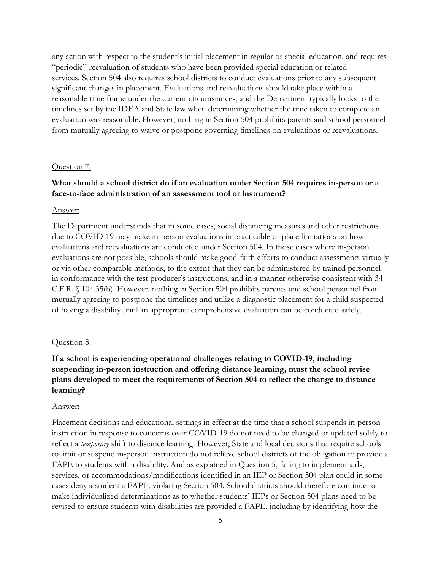any action with respect to the student's initial placement in regular or special education, and requires "periodic" reevaluation of students who have been provided special education or related services. Section 504 also requires school districts to conduct evaluations prior to any subsequent significant changes in placement. Evaluations and reevaluations should take place within a reasonable time frame under the current circumstances, and the Department typically looks to the timelines set by the IDEA and State law when determining whether the time taken to complete an evaluation was reasonable. However, nothing in Section 504 prohibits parents and school personnel from mutually agreeing to waive or postpone governing timelines on evaluations or reevaluations.

#### Question 7:

### **What should a school district do if an evaluation under Section 504 requires in-person or a face-to-face administration of an assessment tool or instrument?**

#### Answer:

The Department understands that in some cases, social distancing measures and other restrictions due to COVID-19 may make in-person evaluations impracticable or place limitations on how evaluations and reevaluations are conducted under Section 504. In those cases where in-person evaluations are not possible, schools should make good-faith efforts to conduct assessments virtually or via other comparable methods, to the extent that they can be administered by trained personnel in conformance with the test producer's instructions, and in a manner otherwise consistent with 34 C.F.R. § 104.35(b). However, nothing in Section 504 prohibits parents and school personnel from mutually agreeing to postpone the timelines and utilize a diagnostic placement for a child suspected of having a disability until an appropriate comprehensive evaluation can be conducted safely.

#### Question 8:

## **If a school is experiencing operational challenges relating to COVID-19, including suspending in-person instruction and offering distance learning, must the school revise plans developed to meet the requirements of Section 504 to reflect the change to distance learning?**

#### Answer:

Placement decisions and educational settings in effect at the time that a school suspends in-person instruction in response to concerns over COVID-19 do not need to be changed or updated solely to reflect a *temporary* shift to distance learning. However, State and local decisions that require schools to limit or suspend in-person instruction do not relieve school districts of the obligation to provide a FAPE to students with a disability. And as explained in Question 5, failing to implement aids, services, or accommodations/modifications identified in an IEP or Section 504 plan could in some cases deny a student a FAPE, violating Section 504. School districts should therefore continue to make individualized determinations as to whether students' IEPs or Section 504 plans need to be revised to ensure students with disabilities are provided a FAPE, including by identifying how the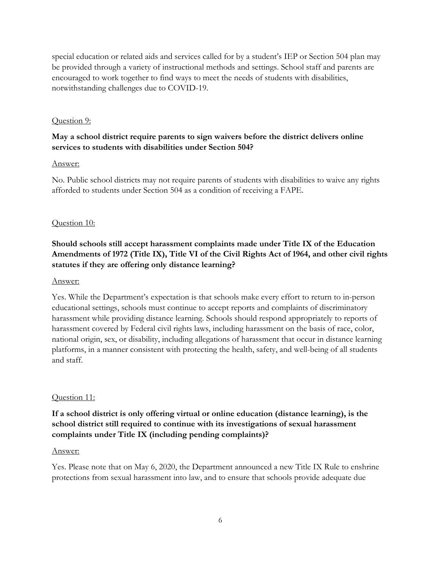special education or related aids and services called for by a student's IEP or Section 504 plan may be provided through a variety of instructional methods and settings. School staff and parents are encouraged to work together to find ways to meet the needs of students with disabilities, notwithstanding challenges due to COVID-19.

### Question 9:

## **May a school district require parents to sign waivers before the district delivers online services to students with disabilities under Section 504?**

### Answer:

No. Public school districts may not require parents of students with disabilities to waive any rights afforded to students under Section 504 as a condition of receiving a FAPE.

## Question 10:

# **Should schools still accept harassment complaints made under Title IX of the Education Amendments of 1972 (Title IX), Title VI of the Civil Rights Act of 1964, and other civil rights statutes if they are offering only distance learning?**

### Answer:

Yes. While the Department's expectation is that schools make every effort to return to in-person educational settings, schools must continue to accept reports and complaints of discriminatory harassment while providing distance learning. Schools should respond appropriately to reports of harassment covered by Federal civil rights laws, including harassment on the basis of race, color, national origin, sex, or disability, including allegations of harassment that occur in distance learning platforms, in a manner consistent with protecting the health, safety, and well-being of all students and staff.

## Question 11:

## **If a school district is only offering virtual or online education (distance learning), is the school district still required to continue with its investigations of sexual harassment complaints under Title IX (including pending complaints)?**

### Answer:

Yes. Please note that on May 6, 2020, the Department announced a new Title IX Rule to enshrine protections from sexual harassment into law, and to ensure that schools provide adequate due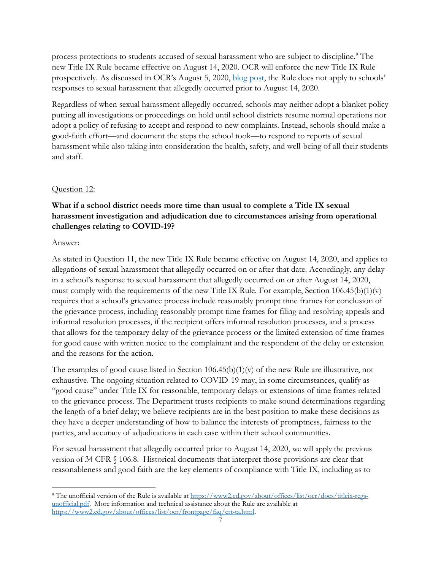process protections to students accused of sexual harassment who are subject to discipline.<sup>[9](#page-6-0)</sup> The new Title IX Rule became effective on August 14, 2020. OCR will enforce the new Title IX Rule prospectively. As discussed in OCR's August 5, 2020, [blog post,](https://www2.ed.gov/about/offices/list/ocr/blog/20200805.html) the Rule does not apply to schools' responses to sexual harassment that allegedly occurred prior to August 14, 2020.

Regardless of when sexual harassment allegedly occurred, schools may neither adopt a blanket policy putting all investigations or proceedings on hold until school districts resume normal operations nor adopt a policy of refusing to accept and respond to new complaints. Instead, schools should make a good-faith effort—and document the steps the school took—to respond to reports of sexual harassment while also taking into consideration the health, safety, and well-being of all their students and staff.

### Question 12:

## **What if a school district needs more time than usual to complete a Title IX sexual harassment investigation and adjudication due to circumstances arising from operational challenges relating to COVID-19?**

### Answer:

As stated in Question 11, the new Title IX Rule became effective on August 14, 2020, and applies to allegations of sexual harassment that allegedly occurred on or after that date. Accordingly, any delay in a school's response to sexual harassment that allegedly occurred on or after August 14, 2020, must comply with the requirements of the new Title IX Rule. For example, Section 106.45(b)(1)(v) requires that a school's grievance process include reasonably prompt time frames for conclusion of the grievance process, including reasonably prompt time frames for filing and resolving appeals and informal resolution processes, if the recipient offers informal resolution processes, and a process that allows for the temporary delay of the grievance process or the limited extension of time frames for good cause with written notice to the complainant and the respondent of the delay or extension and the reasons for the action.

The examples of good cause listed in Section  $106.45(b)(1)(v)$  of the new Rule are illustrative, not exhaustive. The ongoing situation related to COVID-19 may, in some circumstances, qualify as "good cause" under Title IX for reasonable, temporary delays or extensions of time frames related to the grievance process. The Department trusts recipients to make sound determinations regarding the length of a brief delay; we believe recipients are in the best position to make these decisions as they have a deeper understanding of how to balance the interests of promptness, fairness to the parties, and accuracy of adjudications in each case within their school communities.

For sexual harassment that allegedly occurred prior to August 14, 2020, we will apply the previous version of 34 CFR § 106.8. Historical documents that interpret those provisions are clear that reasonableness and good faith are the key elements of compliance with Title IX, including as to

<span id="page-6-0"></span><sup>9</sup> The unofficial version of the Rule is available at [https://www2.ed.gov/about/offices/list/ocr/docs/titleix-regs](https://www2.ed.gov/about/offices/list/ocr/docs/titleix-regs-unofficial.pdf)[unofficial.pdf.](https://www2.ed.gov/about/offices/list/ocr/docs/titleix-regs-unofficial.pdf) More information and technical assistance about the Rule are available at [https://www2.ed.gov/about/offices/list/ocr/frontpage/faq/crt-ta.html.](https://www2.ed.gov/about/offices/list/ocr/frontpage/faq/crt-ta.html)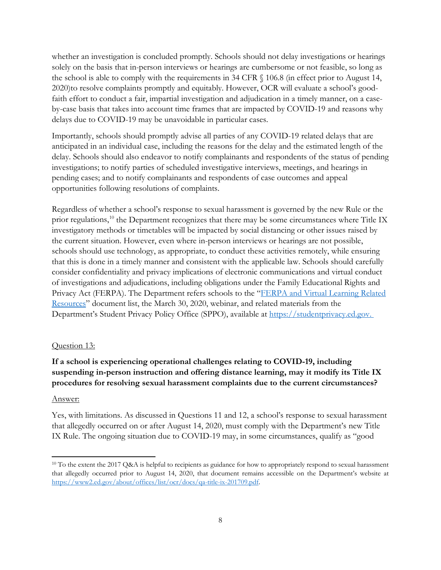whether an investigation is concluded promptly. Schools should not delay investigations or hearings solely on the basis that in-person interviews or hearings are cumbersome or not feasible, so long as the school is able to comply with the requirements in 34 CFR § 106.8 (in effect prior to August 14, 2020)to resolve complaints promptly and equitably. However, OCR will evaluate a school's goodfaith effort to conduct a fair, impartial investigation and adjudication in a timely manner, on a caseby-case basis that takes into account time frames that are impacted by COVID-19 and reasons why delays due to COVID-19 may be unavoidable in particular cases.

Importantly, schools should promptly advise all parties of any COVID-19 related delays that are anticipated in an individual case, including the reasons for the delay and the estimated length of the delay. Schools should also endeavor to notify complainants and respondents of the status of pending investigations; to notify parties of scheduled investigative interviews, meetings, and hearings in pending cases; and to notify complainants and respondents of case outcomes and appeal opportunities following resolutions of complaints.

Regardless of whether a school's response to sexual harassment is governed by the new Rule or the prior regulations,<sup>[10](#page-7-0)</sup> the Department recognizes that there may be some circumstances where Title IX investigatory methods or timetables will be impacted by social distancing or other issues raised by the current situation. However, even where in-person interviews or hearings are not possible, schools should use technology, as appropriate, to conduct these activities remotely, while ensuring that this is done in a timely manner and consistent with the applicable law. Schools should carefully consider confidentiality and privacy implications of electronic communications and virtual conduct of investigations and adjudications, including obligations under the Family Educational Rights and Privacy Act (FERPA). The Department refers schools to the "FERPA and Virtual Learning Related [Resources"](https://studentprivacy.ed.gov/sites/default/files/resource_document/file/FERPA%20%20Virtual%20Learning%20032020_FINAL.pdf) document list, the March 30, 2020, webinar, and related materials from the Department's Student Privacy Policy Office (SPPO), available at [https://studentprivacy.ed.gov.](https://studentprivacy.ed.gov/)

### Question 13:

## **If a school is experiencing operational challenges relating to COVID-19, including suspending in-person instruction and offering distance learning, may it modify its Title IX procedures for resolving sexual harassment complaints due to the current circumstances?**

### Answer:

Yes, with limitations. As discussed in Questions 11 and 12, a school's response to sexual harassment that allegedly occurred on or after August 14, 2020, must comply with the Department's new Title IX Rule. The ongoing situation due to COVID-19 may, in some circumstances, qualify as "good

<span id="page-7-0"></span><sup>&</sup>lt;sup>10</sup> To the extent the 2017 Q&A is helpful to recipients as guidance for how to appropriately respond to sexual harassment that allegedly occurred prior to August 14, 2020, that document remains accessible on the Department's website at [https://www2.ed.gov/about/offices/list/ocr/docs/qa-title-ix-201709.pdf.](https://www2.ed.gov/about/offices/list/ocr/docs/qa-title-ix-201709.pdf)